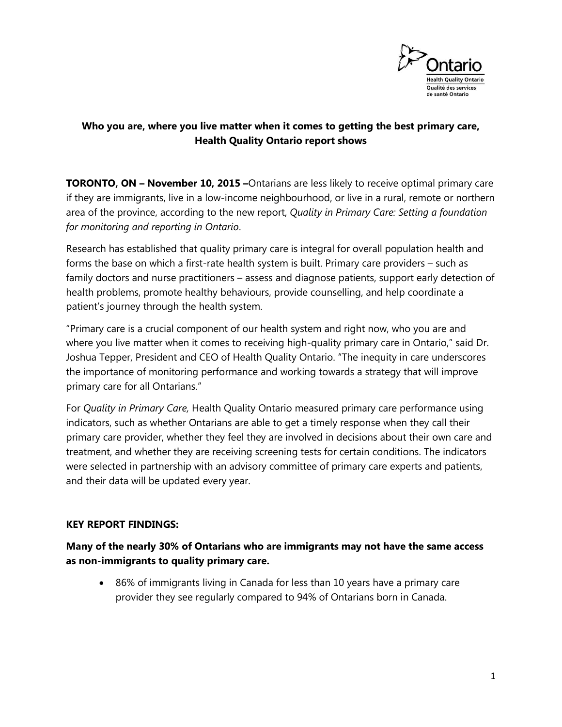

# **Who you are, where you live matter when it comes to getting the best primary care, Health Quality Ontario report shows**

**TORONTO, ON – November 10, 2015 –**Ontarians are less likely to receive optimal primary care if they are immigrants, live in a low-income neighbourhood, or live in a rural, remote or northern area of the province, according to the new report, *Quality in Primary Care: Setting a foundation for monitoring and reporting in Ontario*.

Research has established that quality primary care is integral for overall population health and forms the base on which a first-rate health system is built. Primary care providers – such as family doctors and nurse practitioners – assess and diagnose patients, support early detection of health problems, promote healthy behaviours, provide counselling, and help coordinate a patient's journey through the health system.

"Primary care is a crucial component of our health system and right now, who you are and where you live matter when it comes to receiving high-quality primary care in Ontario," said Dr. Joshua Tepper, President and CEO of Health Quality Ontario. "The inequity in care underscores the importance of monitoring performance and working towards a strategy that will improve primary care for all Ontarians."

For *Quality in Primary Care,* Health Quality Ontario measured primary care performance using indicators, such as whether Ontarians are able to get a timely response when they call their primary care provider, whether they feel they are involved in decisions about their own care and treatment, and whether they are receiving screening tests for certain conditions. The indicators were selected in partnership with an advisory committee of primary care experts and patients, and their data will be updated every year.

## **KEY REPORT FINDINGS:**

**Many of the nearly 30% of Ontarians who are immigrants may not have the same access as non-immigrants to quality primary care.**

 86% of immigrants living in Canada for less than 10 years have a primary care provider they see regularly compared to 94% of Ontarians born in Canada.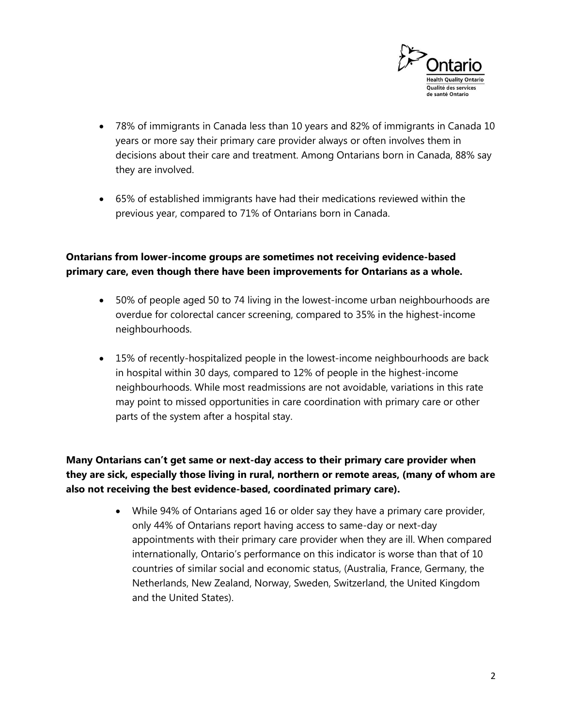

- 78% of immigrants in Canada less than 10 years and 82% of immigrants in Canada 10 years or more say their primary care provider always or often involves them in decisions about their care and treatment. Among Ontarians born in Canada, 88% say they are involved.
- 65% of established immigrants have had their medications reviewed within the previous year, compared to 71% of Ontarians born in Canada.

## **Ontarians from lower-income groups are sometimes not receiving evidence-based primary care, even though there have been improvements for Ontarians as a whole.**

- 50% of people aged 50 to 74 living in the lowest-income urban neighbourhoods are overdue for colorectal cancer screening, compared to 35% in the highest-income neighbourhoods.
- 15% of recently-hospitalized people in the lowest-income neighbourhoods are back in hospital within 30 days, compared to 12% of people in the highest-income neighbourhoods. While most readmissions are not avoidable, variations in this rate may point to missed opportunities in care coordination with primary care or other parts of the system after a hospital stay.

**Many Ontarians can't get same or next-day access to their primary care provider when they are sick, especially those living in rural, northern or remote areas, (many of whom are also not receiving the best evidence-based, coordinated primary care).**

> While 94% of Ontarians aged 16 or older say they have a primary care provider, only 44% of Ontarians report having access to same-day or next-day appointments with their primary care provider when they are ill. When compared internationally, Ontario's performance on this indicator is worse than that of 10 countries of similar social and economic status, (Australia, France, Germany, the Netherlands, New Zealand, Norway, Sweden, Switzerland, the United Kingdom and the United States).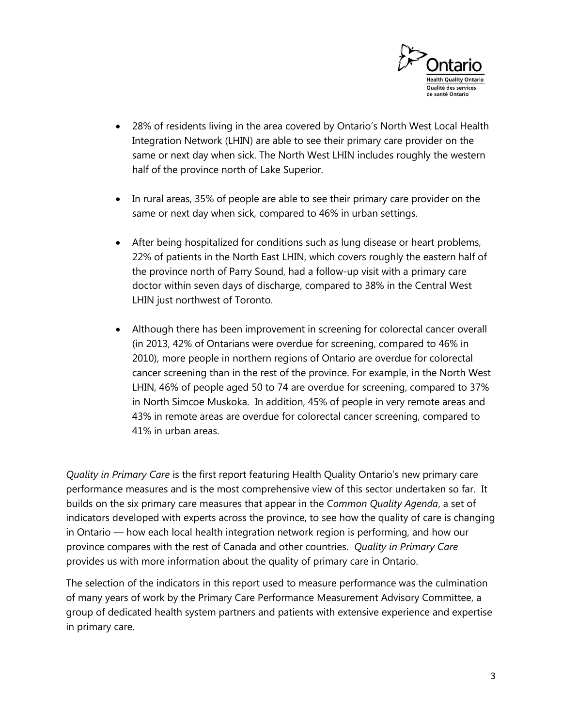

- 28% of residents living in the area covered by Ontario's North West Local Health Integration Network (LHIN) are able to see their primary care provider on the same or next day when sick. The North West LHIN includes roughly the western half of the province north of Lake Superior.
- In rural areas, 35% of people are able to see their primary care provider on the same or next day when sick, compared to 46% in urban settings.
- After being hospitalized for conditions such as lung disease or heart problems, 22% of patients in the North East LHIN, which covers roughly the eastern half of the province north of Parry Sound, had a follow-up visit with a primary care doctor within seven days of discharge, compared to 38% in the Central West LHIN just northwest of Toronto.
- Although there has been improvement in screening for colorectal cancer overall (in 2013, 42% of Ontarians were overdue for screening, compared to 46% in 2010), more people in northern regions of Ontario are overdue for colorectal cancer screening than in the rest of the province. For example, in the North West LHIN, 46% of people aged 50 to 74 are overdue for screening, compared to 37% in North Simcoe Muskoka. In addition, 45% of people in very remote areas and 43% in remote areas are overdue for colorectal cancer screening, compared to 41% in urban areas.

*Quality in Primary Care* is the first report featuring Health Quality Ontario's new primary care performance measures and is the most comprehensive view of this sector undertaken so far. It builds on the six primary care measures that appear in the *Common Quality Agenda*, a set of indicators developed with experts across the province, to see how the quality of care is changing in Ontario — how each local health integration network region is performing, and how our province compares with the rest of Canada and other countries. *Quality in Primary Care* provides us with more information about the quality of primary care in Ontario.

The selection of the indicators in this report used to measure performance was the culmination of many years of work by the Primary Care Performance Measurement Advisory Committee, a group of dedicated health system partners and patients with extensive experience and expertise in primary care.